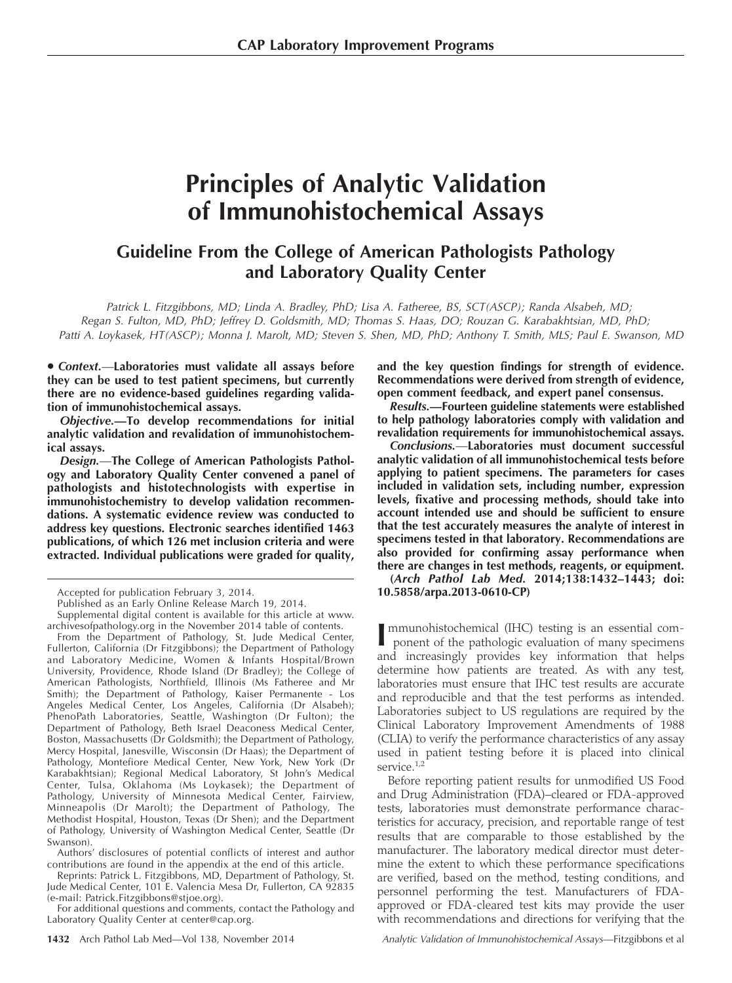# Principles of Analytic Validation of Immunohistochemical Assays

Guideline From the College of American Pathologists Pathology and Laboratory Quality Center

Patrick L. Fitzgibbons, MD; Linda A. Bradley, PhD; Lisa A. Fatheree, BS, SCT(ASCP); Randa Alsabeh, MD; Regan S. Fulton, MD, PhD; Jeffrey D. Goldsmith, MD; Thomas S. Haas, DO; Rouzan G. Karabakhtsian, MD, PhD; Patti A. Loykasek, HT(ASCP); Monna J. Marolt, MD; Steven S. Shen, MD, PhD; Anthony T. Smith, MLS; Paul E. Swanson, MD

· Context.-Laboratories must validate all assays before they can be used to test patient specimens, but currently there are no evidence-based guidelines regarding validation of immunohistochemical assays.

Objective.—To develop recommendations for initial analytic validation and revalidation of immunohistochemical assays.

Design.—The College of American Pathologists Pathology and Laboratory Quality Center convened a panel of pathologists and histotechnologists with expertise in immunohistochemistry to develop validation recommendations. A systematic evidence review was conducted to address key questions. Electronic searches identified 1463 publications, of which 126 met inclusion criteria and were extracted. Individual publications were graded for quality,

From the Department of Pathology, St. Jude Medical Center, Fullerton, California (Dr Fitzgibbons); the Department of Pathology and Laboratory Medicine, Women & Infants Hospital/Brown University, Providence, Rhode Island (Dr Bradley); the College of American Pathologists, Northfield, Illinois (Ms Fatheree and Mr Smith); the Department of Pathology, Kaiser Permanente - Los Angeles Medical Center, Los Angeles, California (Dr Alsabeh); PhenoPath Laboratories, Seattle, Washington (Dr Fulton); the Department of Pathology, Beth Israel Deaconess Medical Center, Boston, Massachusetts (Dr Goldsmith); the Department of Pathology, Mercy Hospital, Janesville, Wisconsin (Dr Haas); the Department of Pathology, Montefiore Medical Center, New York, New York (Dr Karabakhtsian); Regional Medical Laboratory, St John's Medical Center, Tulsa, Oklahoma (Ms Loykasek); the Department of Pathology, University of Minnesota Medical Center, Fairview, Minneapolis (Dr Marolt); the Department of Pathology, The Methodist Hospital, Houston, Texas (Dr Shen); and the Department of Pathology, University of Washington Medical Center, Seattle (Dr Swanson).

Authors' disclosures of potential conflicts of interest and author contributions are found in the appendix at the end of this article.

Reprints: Patrick L. Fitzgibbons, MD, Department of Pathology, St. Jude Medical Center, 101 E. Valencia Mesa Dr, Fullerton, CA 92835 (e-mail: Patrick.Fitzgibbons@stjoe.org).

For additional questions and comments, contact the Pathology and Laboratory Quality Center at center@cap.org.

and the key question findings for strength of evidence. Recommendations were derived from strength of evidence, open comment feedback, and expert panel consensus.

Results.—Fourteen guideline statements were established to help pathology laboratories comply with validation and revalidation requirements for immunohistochemical assays.

Conclusions.—Laboratories must document successful analytic validation of all immunohistochemical tests before applying to patient specimens. The parameters for cases included in validation sets, including number, expression levels, fixative and processing methods, should take into account intended use and should be sufficient to ensure that the test accurately measures the analyte of interest in specimens tested in that laboratory. Recommendations are also provided for confirming assay performance when there are changes in test methods, reagents, or equipment.

(Arch Pathol Lab Med. 2014;138:1432–1443; doi: 10.5858/arpa.2013-0610-CP)

Immunohistochemical (IHC) testing is an essential component of the pathologic evaluation of many specimens and increasingly provides key information that helps mmunohistochemical (IHC) testing is an essential component of the pathologic evaluation of many specimens determine how patients are treated. As with any test, laboratories must ensure that IHC test results are accurate and reproducible and that the test performs as intended. Laboratories subject to US regulations are required by the Clinical Laboratory Improvement Amendments of 1988 (CLIA) to verify the performance characteristics of any assay used in patient testing before it is placed into clinical service.<sup>1,2</sup>

Before reporting patient results for unmodified US Food and Drug Administration (FDA)–cleared or FDA-approved tests, laboratories must demonstrate performance characteristics for accuracy, precision, and reportable range of test results that are comparable to those established by the manufacturer. The laboratory medical director must determine the extent to which these performance specifications are verified, based on the method, testing conditions, and personnel performing the test. Manufacturers of FDAapproved or FDA-cleared test kits may provide the user with recommendations and directions for verifying that the

Accepted for publication February 3, 2014.

Published as an Early Online Release March 19, 2014.

Supplemental digital content is available for this article at www. archivesofpathology.org in the November 2014 table of contents.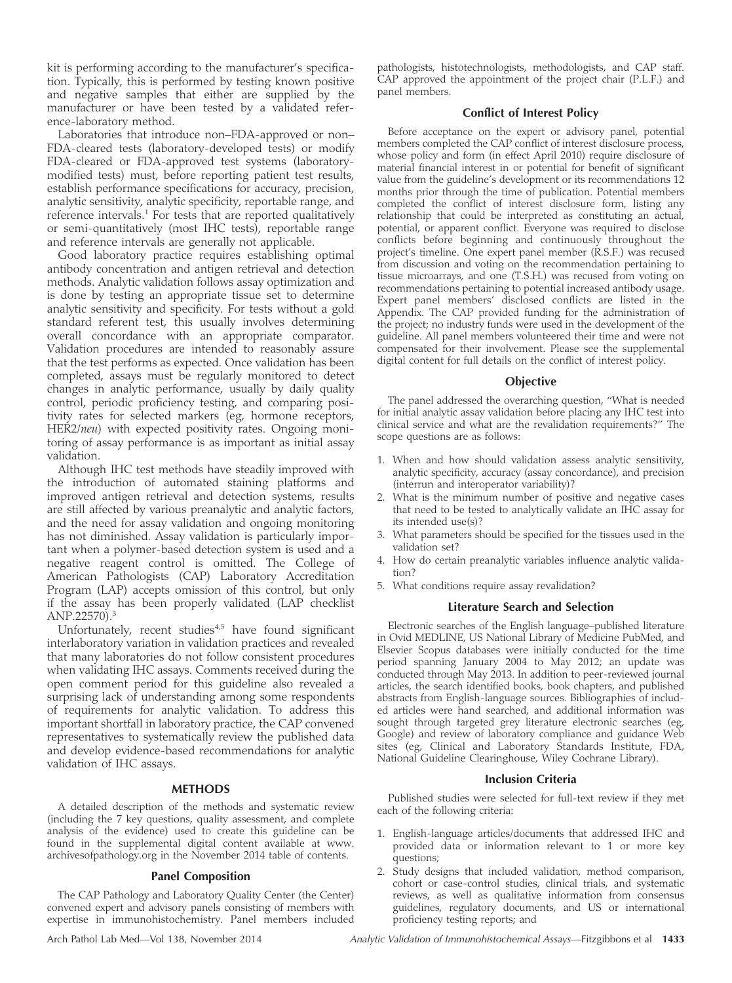kit is performing according to the manufacturer's specification. Typically, this is performed by testing known positive and negative samples that either are supplied by the manufacturer or have been tested by a validated reference-laboratory method.

Laboratories that introduce non–FDA-approved or non– FDA-cleared tests (laboratory-developed tests) or modify FDA-cleared or FDA-approved test systems (laboratorymodified tests) must, before reporting patient test results, establish performance specifications for accuracy, precision, analytic sensitivity, analytic specificity, reportable range, and reference intervals.<sup>1</sup> For tests that are reported qualitatively or semi-quantitatively (most IHC tests), reportable range and reference intervals are generally not applicable.

Good laboratory practice requires establishing optimal antibody concentration and antigen retrieval and detection methods. Analytic validation follows assay optimization and is done by testing an appropriate tissue set to determine analytic sensitivity and specificity. For tests without a gold standard referent test, this usually involves determining overall concordance with an appropriate comparator. Validation procedures are intended to reasonably assure that the test performs as expected. Once validation has been completed, assays must be regularly monitored to detect changes in analytic performance, usually by daily quality control, periodic proficiency testing, and comparing positivity rates for selected markers (eg, hormone receptors, HER2/neu) with expected positivity rates. Ongoing monitoring of assay performance is as important as initial assay validation.

Although IHC test methods have steadily improved with the introduction of automated staining platforms and improved antigen retrieval and detection systems, results are still affected by various preanalytic and analytic factors, and the need for assay validation and ongoing monitoring has not diminished. Assay validation is particularly important when a polymer-based detection system is used and a negative reagent control is omitted. The College of American Pathologists (CAP) Laboratory Accreditation Program (LAP) accepts omission of this control, but only if the assay has been properly validated (LAP checklist ANP.22570).<sup>3</sup>

Unfortunately, recent studies<sup>4,5</sup> have found significant interlaboratory variation in validation practices and revealed that many laboratories do not follow consistent procedures when validating IHC assays. Comments received during the open comment period for this guideline also revealed a surprising lack of understanding among some respondents of requirements for analytic validation. To address this important shortfall in laboratory practice, the CAP convened representatives to systematically review the published data and develop evidence-based recommendations for analytic validation of IHC assays.

## **METHODS**

A detailed description of the methods and systematic review (including the 7 key questions, quality assessment, and complete analysis of the evidence) used to create this guideline can be found in the supplemental digital content available at www. archivesofpathology.org in the November 2014 table of contents.

### Panel Composition

The CAP Pathology and Laboratory Quality Center (the Center) convened expert and advisory panels consisting of members with expertise in immunohistochemistry. Panel members included pathologists, histotechnologists, methodologists, and CAP staff. CAP approved the appointment of the project chair (P.L.F.) and panel members.

### Conflict of Interest Policy

Before acceptance on the expert or advisory panel, potential members completed the CAP conflict of interest disclosure process, whose policy and form (in effect April 2010) require disclosure of material financial interest in or potential for benefit of significant value from the guideline's development or its recommendations 12 months prior through the time of publication. Potential members completed the conflict of interest disclosure form, listing any relationship that could be interpreted as constituting an actual, potential, or apparent conflict. Everyone was required to disclose conflicts before beginning and continuously throughout the project's timeline. One expert panel member (R.S.F.) was recused from discussion and voting on the recommendation pertaining to tissue microarrays, and one (T.S.H.) was recused from voting on recommendations pertaining to potential increased antibody usage. Expert panel members' disclosed conflicts are listed in the Appendix. The CAP provided funding for the administration of the project; no industry funds were used in the development of the guideline. All panel members volunteered their time and were not compensated for their involvement. Please see the supplemental digital content for full details on the conflict of interest policy.

## **Objective**

The panel addressed the overarching question, ''What is needed for initial analytic assay validation before placing any IHC test into clinical service and what are the revalidation requirements?'' The scope questions are as follows:

- 1. When and how should validation assess analytic sensitivity, analytic specificity, accuracy (assay concordance), and precision (interrun and interoperator variability)?
- 2. What is the minimum number of positive and negative cases that need to be tested to analytically validate an IHC assay for its intended use(s)?
- 3. What parameters should be specified for the tissues used in the validation set?
- 4. How do certain preanalytic variables influence analytic validation?
- 5. What conditions require assay revalidation?

#### Literature Search and Selection

Electronic searches of the English language–published literature in Ovid MEDLINE, US National Library of Medicine PubMed, and Elsevier Scopus databases were initially conducted for the time period spanning January 2004 to May 2012; an update was conducted through May 2013. In addition to peer-reviewed journal articles, the search identified books, book chapters, and published abstracts from English-language sources. Bibliographies of included articles were hand searched, and additional information was sought through targeted grey literature electronic searches (eg, Google) and review of laboratory compliance and guidance Web sites (eg, Clinical and Laboratory Standards Institute, FDA, National Guideline Clearinghouse, Wiley Cochrane Library).

#### Inclusion Criteria

Published studies were selected for full-text review if they met each of the following criteria:

- 1. English-language articles/documents that addressed IHC and provided data or information relevant to 1 or more key questions;
- 2. Study designs that included validation, method comparison, cohort or case-control studies, clinical trials, and systematic reviews, as well as qualitative information from consensus guidelines, regulatory documents, and US or international proficiency testing reports; and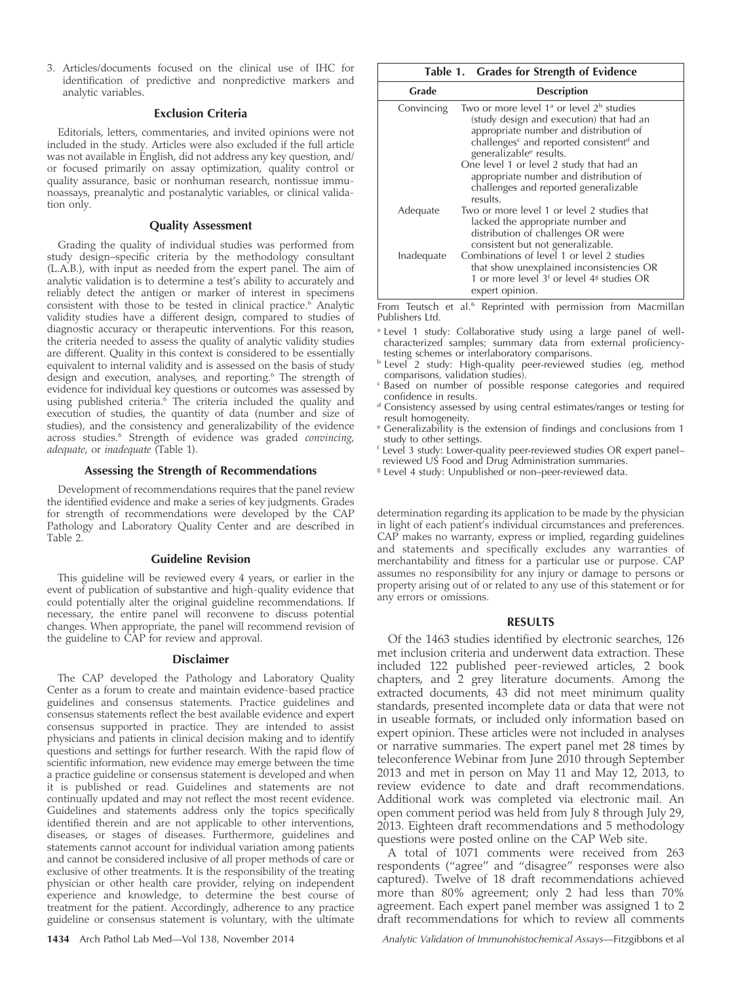3. Articles/documents focused on the clinical use of IHC for identification of predictive and nonpredictive markers and analytic variables.

## Exclusion Criteria

Editorials, letters, commentaries, and invited opinions were not included in the study. Articles were also excluded if the full article was not available in English, did not address any key question, and/ or focused primarily on assay optimization, quality control or quality assurance, basic or nonhuman research, nontissue immunoassays, preanalytic and postanalytic variables, or clinical validation only.

#### Quality Assessment

Grading the quality of individual studies was performed from study design–specific criteria by the methodology consultant (L.A.B.), with input as needed from the expert panel. The aim of analytic validation is to determine a test's ability to accurately and reliably detect the antigen or marker of interest in specimens consistent with those to be tested in clinical practice.<sup>6</sup> Analytic validity studies have a different design, compared to studies of diagnostic accuracy or therapeutic interventions. For this reason, the criteria needed to assess the quality of analytic validity studies are different. Quality in this context is considered to be essentially equivalent to internal validity and is assessed on the basis of study design and execution, analyses, and reporting.<sup>6</sup> The strength of evidence for individual key questions or outcomes was assessed by using published criteria.<sup>6</sup> The criteria included the quality and execution of studies, the quantity of data (number and size of studies), and the consistency and generalizability of the evidence across studies.<sup>6</sup> Strength of evidence was graded convincing, adequate, or inadequate (Table 1).

#### Assessing the Strength of Recommendations

Development of recommendations requires that the panel review the identified evidence and make a series of key judgments. Grades for strength of recommendations were developed by the CAP Pathology and Laboratory Quality Center and are described in Table 2.

#### Guideline Revision

This guideline will be reviewed every 4 years, or earlier in the event of publication of substantive and high-quality evidence that could potentially alter the original guideline recommendations. If necessary, the entire panel will reconvene to discuss potential changes. When appropriate, the panel will recommend revision of the guideline to CAP for review and approval.

### Disclaimer

The CAP developed the Pathology and Laboratory Quality Center as a forum to create and maintain evidence-based practice guidelines and consensus statements. Practice guidelines and consensus statements reflect the best available evidence and expert consensus supported in practice. They are intended to assist physicians and patients in clinical decision making and to identify questions and settings for further research. With the rapid flow of scientific information, new evidence may emerge between the time a practice guideline or consensus statement is developed and when it is published or read. Guidelines and statements are not continually updated and may not reflect the most recent evidence. Guidelines and statements address only the topics specifically identified therein and are not applicable to other interventions, diseases, or stages of diseases. Furthermore, guidelines and statements cannot account for individual variation among patients and cannot be considered inclusive of all proper methods of care or exclusive of other treatments. It is the responsibility of the treating physician or other health care provider, relying on independent experience and knowledge, to determine the best course of treatment for the patient. Accordingly, adherence to any practice guideline or consensus statement is voluntary, with the ultimate

| Table 1. Grades for Strength of Evidence |                                                                                                                                                                                                                                                                                                                                                                                                        |  |  |
|------------------------------------------|--------------------------------------------------------------------------------------------------------------------------------------------------------------------------------------------------------------------------------------------------------------------------------------------------------------------------------------------------------------------------------------------------------|--|--|
| Grade                                    | <b>Description</b>                                                                                                                                                                                                                                                                                                                                                                                     |  |  |
| Convincing                               | Two or more level $1^{\circ}$ or level $2^{\circ}$ studies<br>(study design and execution) that had an<br>appropriate number and distribution of<br>challenges <sup>c</sup> and reported consistent <sup>d</sup> and<br>generalizable <sup>e</sup> results.<br>One level 1 or level 2 study that had an<br>appropriate number and distribution of<br>challenges and reported generalizable<br>results. |  |  |
| Adequate                                 | Two or more level 1 or level 2 studies that<br>lacked the appropriate number and<br>distribution of challenges OR were<br>consistent but not generalizable.                                                                                                                                                                                                                                            |  |  |
| Inadequate                               | Combinations of level 1 or level 2 studies<br>that show unexplained inconsistencies OR<br>1 or more level $3f$ or level $4g$ studies OR<br>expert opinion.                                                                                                                                                                                                                                             |  |  |

From Teutsch et al.<sup>6</sup> Reprinted with permission from Macmillan Publishers Ltd.

- <sup>a</sup> Level 1 study: Collaborative study using a large panel of wellcharacterized samples; summary data from external proficiencytesting schemes or interlaboratory comparisons.
- b Level 2 study: High-quality peer-reviewed studies (eg, method comparisons, validation studies).
- Based on number of possible response categories and required confidence in results.
- <sup>d</sup> Consistency assessed by using central estimates/ranges or testing for result homogeneity.
- Generalizability is the extension of findings and conclusions from 1 study to other settings.
- <sup>f</sup> Level 3 study: Lower-quality peer-reviewed studies OR expert panel– reviewed US Food and Drug Administration summaries.
- <sup>8</sup> Level 4 study: Unpublished or non-peer-reviewed data.

determination regarding its application to be made by the physician in light of each patient's individual circumstances and preferences. CAP makes no warranty, express or implied, regarding guidelines and statements and specifically excludes any warranties of merchantability and fitness for a particular use or purpose. CAP assumes no responsibility for any injury or damage to persons or property arising out of or related to any use of this statement or for any errors or omissions.

## RESULTS

Of the 1463 studies identified by electronic searches, 126 met inclusion criteria and underwent data extraction. These included 122 published peer-reviewed articles, 2 book chapters, and 2 grey literature documents. Among the extracted documents, 43 did not meet minimum quality standards, presented incomplete data or data that were not in useable formats, or included only information based on expert opinion. These articles were not included in analyses or narrative summaries. The expert panel met 28 times by teleconference Webinar from June 2010 through September 2013 and met in person on May 11 and May 12, 2013, to review evidence to date and draft recommendations. Additional work was completed via electronic mail. An open comment period was held from July 8 through July 29, 2013. Eighteen draft recommendations and 5 methodology questions were posted online on the CAP Web site.

A total of 1071 comments were received from 263 respondents (''agree'' and ''disagree'' responses were also captured). Twelve of 18 draft recommendations achieved more than 80% agreement; only 2 had less than 70% agreement. Each expert panel member was assigned 1 to 2 draft recommendations for which to review all comments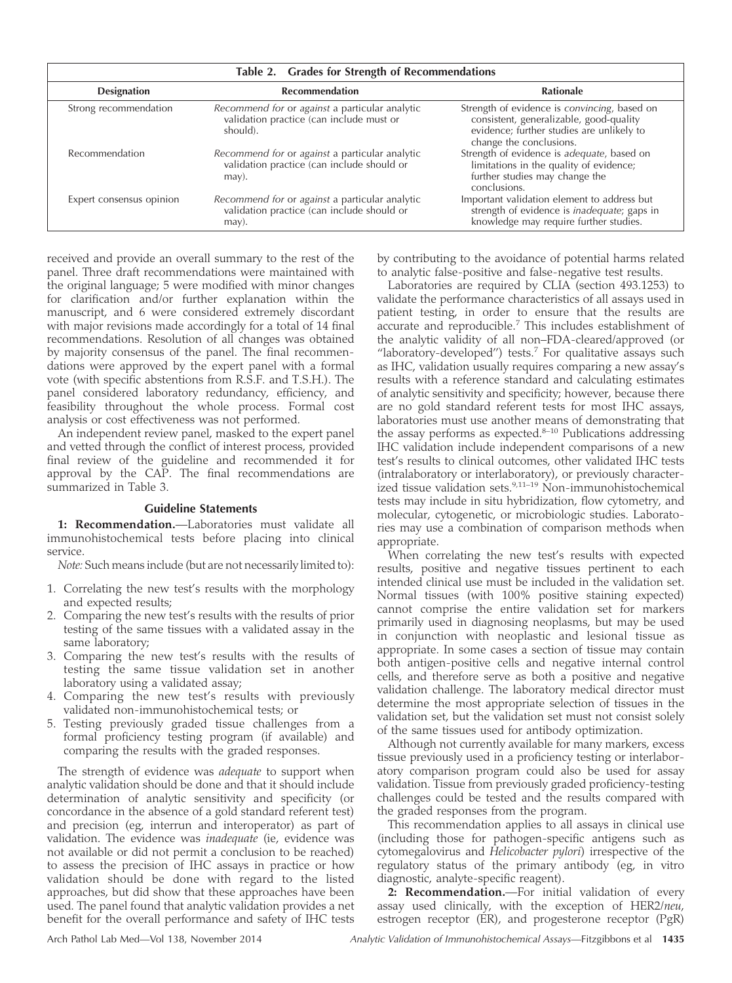| Table 2. Grades for Strength of Recommendations |                                                                                                        |                                                                                                                                                                         |  |
|-------------------------------------------------|--------------------------------------------------------------------------------------------------------|-------------------------------------------------------------------------------------------------------------------------------------------------------------------------|--|
| <b>Designation</b>                              | <b>Recommendation</b>                                                                                  | <b>Rationale</b>                                                                                                                                                        |  |
| Strong recommendation                           | Recommend for or against a particular analytic<br>validation practice (can include must or<br>should). | Strength of evidence is <i>convincing</i> , based on<br>consistent, generalizable, good-quality<br>evidence; further studies are unlikely to<br>change the conclusions. |  |
| Recommendation                                  | Recommend for or against a particular analytic<br>validation practice (can include should or<br>may).  | Strength of evidence is adequate, based on<br>limitations in the quality of evidence;<br>further studies may change the<br>conclusions.                                 |  |
| Expert consensus opinion                        | Recommend for or against a particular analytic<br>validation practice (can include should or<br>may).  | Important validation element to address but<br>strength of evidence is <i>inadequate</i> ; gaps in<br>knowledge may require further studies.                            |  |

received and provide an overall summary to the rest of the panel. Three draft recommendations were maintained with the original language; 5 were modified with minor changes for clarification and/or further explanation within the manuscript, and 6 were considered extremely discordant with major revisions made accordingly for a total of 14 final recommendations. Resolution of all changes was obtained by majority consensus of the panel. The final recommendations were approved by the expert panel with a formal vote (with specific abstentions from R.S.F. and T.S.H.). The panel considered laboratory redundancy, efficiency, and feasibility throughout the whole process. Formal cost analysis or cost effectiveness was not performed.

An independent review panel, masked to the expert panel and vetted through the conflict of interest process, provided final review of the guideline and recommended it for approval by the CAP. The final recommendations are summarized in Table 3.

## Guideline Statements

1: Recommendation.—Laboratories must validate all immunohistochemical tests before placing into clinical service.

Note: Such means include (but are not necessarily limited to):

- 1. Correlating the new test's results with the morphology and expected results;
- 2. Comparing the new test's results with the results of prior testing of the same tissues with a validated assay in the same laboratory;
- 3. Comparing the new test's results with the results of testing the same tissue validation set in another laboratory using a validated assay;
- 4. Comparing the new test's results with previously validated non-immunohistochemical tests; or
- 5. Testing previously graded tissue challenges from a formal proficiency testing program (if available) and comparing the results with the graded responses.

The strength of evidence was *adequate* to support when analytic validation should be done and that it should include determination of analytic sensitivity and specificity (or concordance in the absence of a gold standard referent test) and precision (eg, interrun and interoperator) as part of validation. The evidence was inadequate (ie, evidence was not available or did not permit a conclusion to be reached) to assess the precision of IHC assays in practice or how validation should be done with regard to the listed approaches, but did show that these approaches have been used. The panel found that analytic validation provides a net benefit for the overall performance and safety of IHC tests by contributing to the avoidance of potential harms related to analytic false-positive and false-negative test results.

Laboratories are required by CLIA (section 493.1253) to validate the performance characteristics of all assays used in patient testing, in order to ensure that the results are accurate and reproducible.7 This includes establishment of the analytic validity of all non–FDA-cleared/approved (or "laboratory-developed") tests.<sup>7</sup> For qualitative assays such as IHC, validation usually requires comparing a new assay's results with a reference standard and calculating estimates of analytic sensitivity and specificity; however, because there are no gold standard referent tests for most IHC assays, laboratories must use another means of demonstrating that the assay performs as expected.<sup>8-10</sup> Publications addressing IHC validation include independent comparisons of a new test's results to clinical outcomes, other validated IHC tests (intralaboratory or interlaboratory), or previously characterized tissue validation sets.<sup>9,11-19</sup> Non-immunohistochemical tests may include in situ hybridization, flow cytometry, and molecular, cytogenetic, or microbiologic studies. Laboratories may use a combination of comparison methods when appropriate.

When correlating the new test's results with expected results, positive and negative tissues pertinent to each intended clinical use must be included in the validation set. Normal tissues (with 100% positive staining expected) cannot comprise the entire validation set for markers primarily used in diagnosing neoplasms, but may be used in conjunction with neoplastic and lesional tissue as appropriate. In some cases a section of tissue may contain both antigen-positive cells and negative internal control cells, and therefore serve as both a positive and negative validation challenge. The laboratory medical director must determine the most appropriate selection of tissues in the validation set, but the validation set must not consist solely of the same tissues used for antibody optimization.

Although not currently available for many markers, excess tissue previously used in a proficiency testing or interlaboratory comparison program could also be used for assay validation. Tissue from previously graded proficiency-testing challenges could be tested and the results compared with the graded responses from the program.

This recommendation applies to all assays in clinical use (including those for pathogen-specific antigens such as cytomegalovirus and Helicobacter pylori) irrespective of the regulatory status of the primary antibody (eg, in vitro diagnostic, analyte-specific reagent).

2: Recommendation.-For initial validation of every assay used clinically, with the exception of HER2/neu, estrogen receptor (ER), and progesterone receptor (PgR)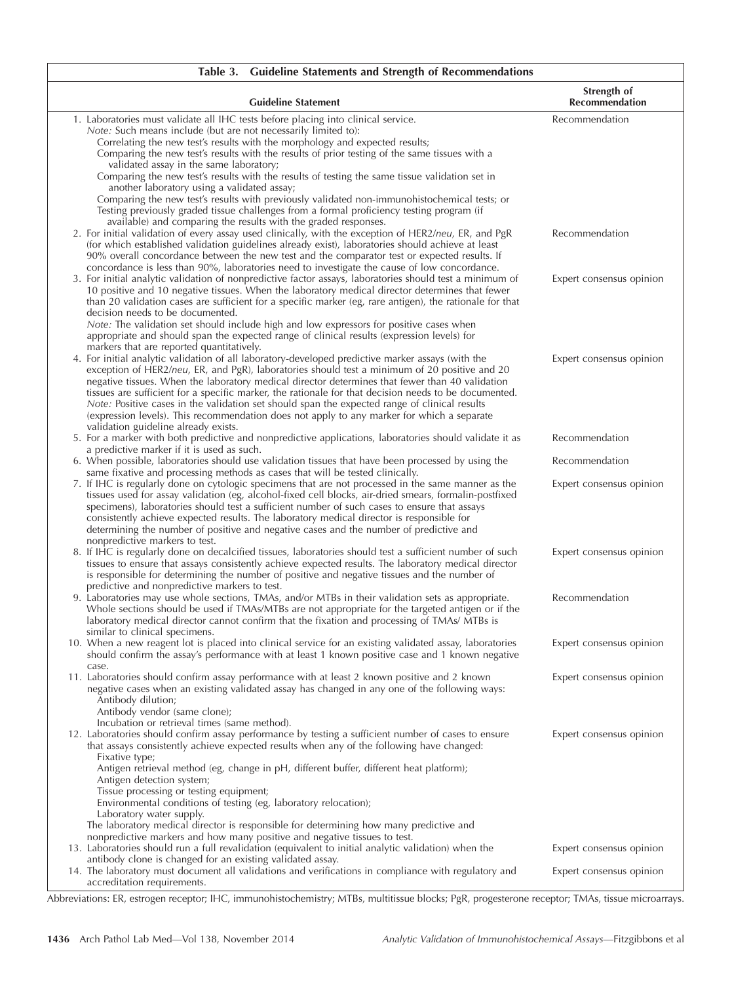| <b>Guideline Statements and Strength of Recommendations</b><br>Table 3.                                                                                                                                       |                                      |
|---------------------------------------------------------------------------------------------------------------------------------------------------------------------------------------------------------------|--------------------------------------|
| <b>Guideline Statement</b>                                                                                                                                                                                    | Strength of<br><b>Recommendation</b> |
| 1. Laboratories must validate all IHC tests before placing into clinical service.                                                                                                                             | Recommendation                       |
| <i>Note:</i> Such means include (but are not necessarily limited to):<br>Correlating the new test's results with the morphology and expected results;                                                         |                                      |
| Comparing the new test's results with the results of prior testing of the same tissues with a                                                                                                                 |                                      |
| validated assay in the same laboratory;                                                                                                                                                                       |                                      |
| Comparing the new test's results with the results of testing the same tissue validation set in                                                                                                                |                                      |
| another laboratory using a validated assay;<br>Comparing the new test's results with previously validated non-immunohistochemical tests; or                                                                   |                                      |
| Testing previously graded tissue challenges from a formal proficiency testing program (if                                                                                                                     |                                      |
| available) and comparing the results with the graded responses.                                                                                                                                               |                                      |
| 2. For initial validation of every assay used clinically, with the exception of HER2/neu, ER, and PgR                                                                                                         | Recommendation                       |
| (for which established validation guidelines already exist), laboratories should achieve at least<br>90% overall concordance between the new test and the comparator test or expected results. If             |                                      |
| concordance is less than 90%, laboratories need to investigate the cause of low concordance.                                                                                                                  |                                      |
| 3. For initial analytic validation of nonpredictive factor assays, laboratories should test a minimum of                                                                                                      | Expert consensus opinion             |
| 10 positive and 10 negative tissues. When the laboratory medical director determines that fewer                                                                                                               |                                      |
| than 20 validation cases are sufficient for a specific marker (eg, rare antigen), the rationale for that<br>decision needs to be documented.                                                                  |                                      |
| Note: The validation set should include high and low expressors for positive cases when                                                                                                                       |                                      |
| appropriate and should span the expected range of clinical results (expression levels) for                                                                                                                    |                                      |
| markers that are reported quantitatively.                                                                                                                                                                     |                                      |
| 4. For initial analytic validation of all laboratory-developed predictive marker assays (with the                                                                                                             | Expert consensus opinion             |
| exception of HER2/neu, ER, and PgR), laboratories should test a minimum of 20 positive and 20<br>negative tissues. When the laboratory medical director determines that fewer than 40 validation              |                                      |
| tissues are sufficient for a specific marker, the rationale for that decision needs to be documented.                                                                                                         |                                      |
| Note: Positive cases in the validation set should span the expected range of clinical results                                                                                                                 |                                      |
| (expression levels). This recommendation does not apply to any marker for which a separate                                                                                                                    |                                      |
| validation guideline already exists.<br>5. For a marker with both predictive and nonpredictive applications, laboratories should validate it as                                                               | Recommendation                       |
| a predictive marker if it is used as such.                                                                                                                                                                    |                                      |
| 6. When possible, laboratories should use validation tissues that have been processed by using the                                                                                                            | Recommendation                       |
| same fixative and processing methods as cases that will be tested clinically.                                                                                                                                 |                                      |
| 7. If IHC is regularly done on cytologic specimens that are not processed in the same manner as the<br>tissues used for assay validation (eg, alcohol-fixed cell blocks, air-dried smears, formalin-postfixed | Expert consensus opinion             |
| specimens), laboratories should test a sufficient number of such cases to ensure that assays                                                                                                                  |                                      |
| consistently achieve expected results. The laboratory medical director is responsible for                                                                                                                     |                                      |
| determining the number of positive and negative cases and the number of predictive and                                                                                                                        |                                      |
| nonpredictive markers to test.<br>8. If IHC is regularly done on decalcified tissues, laboratories should test a sufficient number of such                                                                    | Expert consensus opinion             |
| tissues to ensure that assays consistently achieve expected results. The laboratory medical director                                                                                                          |                                      |
| is responsible for determining the number of positive and negative tissues and the number of                                                                                                                  |                                      |
| predictive and nonpredictive markers to test.<br>9. Laboratories may use whole sections, TMAs, and/or MTBs in their validation sets as appropriate.                                                           | Recommendation                       |
| Whole sections should be used if TMAs/MTBs are not appropriate for the targeted antigen or if the                                                                                                             |                                      |
| laboratory medical director cannot confirm that the fixation and processing of TMAs/ MTBs is                                                                                                                  |                                      |
| similar to clinical specimens.                                                                                                                                                                                |                                      |
| 10. When a new reagent lot is placed into clinical service for an existing validated assay, laboratories<br>should confirm the assay's performance with at least 1 known positive case and 1 known negative   | Expert consensus opinion             |
| case.                                                                                                                                                                                                         |                                      |
| 11. Laboratories should confirm assay performance with at least 2 known positive and 2 known                                                                                                                  | Expert consensus opinion             |
| negative cases when an existing validated assay has changed in any one of the following ways:                                                                                                                 |                                      |
| Antibody dilution;<br>Antibody vendor (same clone);                                                                                                                                                           |                                      |
| Incubation or retrieval times (same method).                                                                                                                                                                  |                                      |
| 12. Laboratories should confirm assay performance by testing a sufficient number of cases to ensure                                                                                                           | Expert consensus opinion             |
| that assays consistently achieve expected results when any of the following have changed:                                                                                                                     |                                      |
| Fixative type;<br>Antigen retrieval method (eg, change in pH, different buffer, different heat platform);                                                                                                     |                                      |
| Antigen detection system;                                                                                                                                                                                     |                                      |
| Tissue processing or testing equipment;                                                                                                                                                                       |                                      |
| Environmental conditions of testing (eg, laboratory relocation);                                                                                                                                              |                                      |
| Laboratory water supply.<br>The laboratory medical director is responsible for determining how many predictive and                                                                                            |                                      |
| nonpredictive markers and how many positive and negative tissues to test.                                                                                                                                     |                                      |
| 13. Laboratories should run a full revalidation (equivalent to initial analytic validation) when the                                                                                                          | Expert consensus opinion             |
| antibody clone is changed for an existing validated assay.                                                                                                                                                    |                                      |
| 14. The laboratory must document all validations and verifications in compliance with regulatory and<br>accreditation requirements.                                                                           | Expert consensus opinion             |

Abbreviations: ER, estrogen receptor; IHC, immunohistochemistry; MTBs, multitissue blocks; PgR, progesterone receptor; TMAs, tissue microarrays.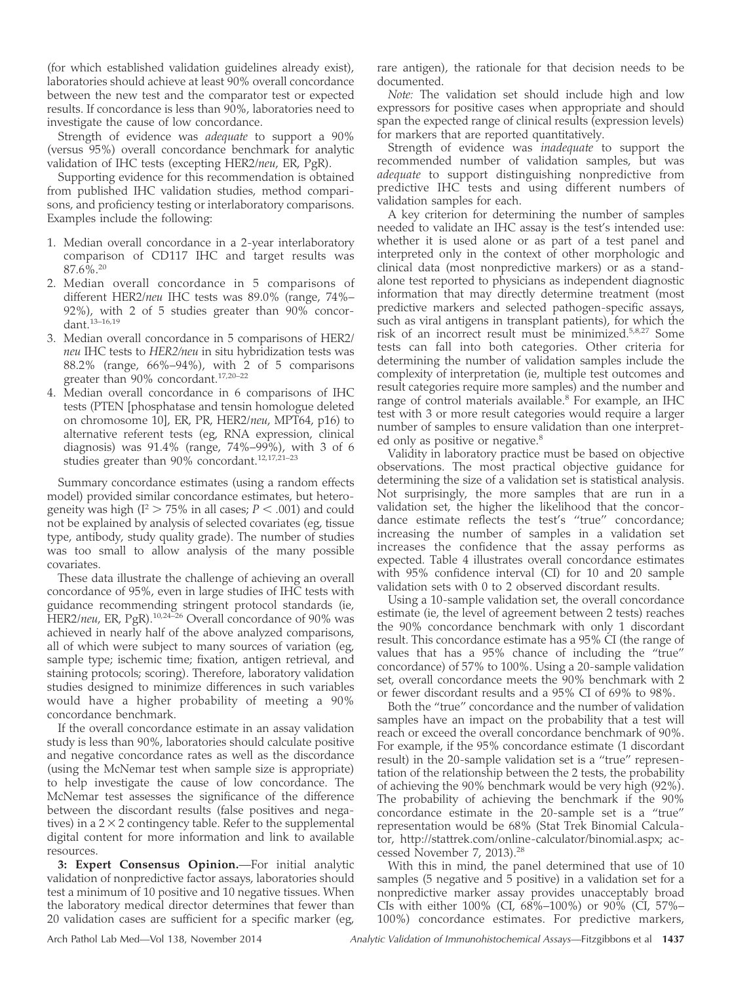(for which established validation guidelines already exist), laboratories should achieve at least 90% overall concordance between the new test and the comparator test or expected results. If concordance is less than 90%, laboratories need to investigate the cause of low concordance.

Strength of evidence was adequate to support a 90% (versus 95%) overall concordance benchmark for analytic validation of IHC tests (excepting HER2/neu, ER, PgR).

Supporting evidence for this recommendation is obtained from published IHC validation studies, method comparisons, and proficiency testing or interlaboratory comparisons. Examples include the following:

- 1. Median overall concordance in a 2-year interlaboratory comparison of CD117 IHC and target results was  $87.6\%$ <sup>20</sup>
- 2. Median overall concordance in 5 comparisons of different HER2/neu IHC tests was 89.0% (range, 74%– 92%), with 2 of 5 studies greater than 90% concordant.13–16,19
- 3. Median overall concordance in 5 comparisons of HER2/ neu IHC tests to HER2/neu in situ hybridization tests was 88.2% (range, 66%–94%), with 2 of 5 comparisons greater than 90% concordant.17,20–22
- 4. Median overall concordance in 6 comparisons of IHC tests (PTEN [phosphatase and tensin homologue deleted on chromosome 10], ER, PR, HER2/neu, MPT64, p16) to alternative referent tests (eg, RNA expression, clinical diagnosis) was 91.4% (range, 74%–99%), with 3 of 6 studies greater than 90% concordant.<sup>12,17,21-23</sup>

Summary concordance estimates (using a random effects model) provided similar concordance estimates, but heterogeneity was high ( $I^2 > 75\%$  in all cases;  $P < .001$ ) and could not be explained by analysis of selected covariates (eg, tissue type, antibody, study quality grade). The number of studies was too small to allow analysis of the many possible covariates.

These data illustrate the challenge of achieving an overall concordance of 95%, even in large studies of IHC tests with guidance recommending stringent protocol standards (ie, HER2/neu, ER, PgR).<sup>10,24–26</sup> Overall concordance of 90% was achieved in nearly half of the above analyzed comparisons, all of which were subject to many sources of variation (eg, sample type; ischemic time; fixation, antigen retrieval, and staining protocols; scoring). Therefore, laboratory validation studies designed to minimize differences in such variables would have a higher probability of meeting a 90% concordance benchmark.

If the overall concordance estimate in an assay validation study is less than 90%, laboratories should calculate positive and negative concordance rates as well as the discordance (using the McNemar test when sample size is appropriate) to help investigate the cause of low concordance. The McNemar test assesses the significance of the difference between the discordant results (false positives and negatives) in a  $2 \times 2$  contingency table. Refer to the supplemental digital content for more information and link to available resources.

3: Expert Consensus Opinion.—For initial analytic validation of nonpredictive factor assays, laboratories should test a minimum of 10 positive and 10 negative tissues. When the laboratory medical director determines that fewer than 20 validation cases are sufficient for a specific marker (eg,

rare antigen), the rationale for that decision needs to be documented.

Note: The validation set should include high and low expressors for positive cases when appropriate and should span the expected range of clinical results (expression levels) for markers that are reported quantitatively.

Strength of evidence was *inadequate* to support the recommended number of validation samples, but was adequate to support distinguishing nonpredictive from predictive IHC tests and using different numbers of validation samples for each.

A key criterion for determining the number of samples needed to validate an IHC assay is the test's intended use: whether it is used alone or as part of a test panel and interpreted only in the context of other morphologic and clinical data (most nonpredictive markers) or as a standalone test reported to physicians as independent diagnostic information that may directly determine treatment (most predictive markers and selected pathogen-specific assays, such as viral antigens in transplant patients), for which the risk of an incorrect result must be minimized.5,8,27 Some tests can fall into both categories. Other criteria for determining the number of validation samples include the complexity of interpretation (ie, multiple test outcomes and result categories require more samples) and the number and range of control materials available.<sup>8</sup> For example, an IHC test with 3 or more result categories would require a larger number of samples to ensure validation than one interpreted only as positive or negative.<sup>8</sup>

Validity in laboratory practice must be based on objective observations. The most practical objective guidance for determining the size of a validation set is statistical analysis. Not surprisingly, the more samples that are run in a validation set, the higher the likelihood that the concordance estimate reflects the test's ''true'' concordance; increasing the number of samples in a validation set increases the confidence that the assay performs as expected. Table 4 illustrates overall concordance estimates with 95% confidence interval (CI) for 10 and 20 sample validation sets with 0 to 2 observed discordant results.

Using a 10-sample validation set, the overall concordance estimate (ie, the level of agreement between 2 tests) reaches the 90% concordance benchmark with only 1 discordant result. This concordance estimate has a 95% CI (the range of values that has a 95% chance of including the "true" concordance) of 57% to 100%. Using a 20-sample validation set, overall concordance meets the 90% benchmark with 2 or fewer discordant results and a 95% CI of 69% to 98%.

Both the "true" concordance and the number of validation samples have an impact on the probability that a test will reach or exceed the overall concordance benchmark of 90%. For example, if the 95% concordance estimate (1 discordant result) in the 20-sample validation set is a "true" representation of the relationship between the 2 tests, the probability of achieving the 90% benchmark would be very high (92%). The probability of achieving the benchmark if the 90% concordance estimate in the 20-sample set is a ''true'' representation would be 68% (Stat Trek Binomial Calculator, http://stattrek.com/online-calculator/binomial.aspx; accessed November 7, 2013).<sup>28</sup>

With this in mind, the panel determined that use of 10 samples (5 negative and  $5$  positive) in a validation set for a nonpredictive marker assay provides unacceptably broad CIs with either 100% (CI, 68%–100%) or 90% (CI, 57%– 100%) concordance estimates. For predictive markers,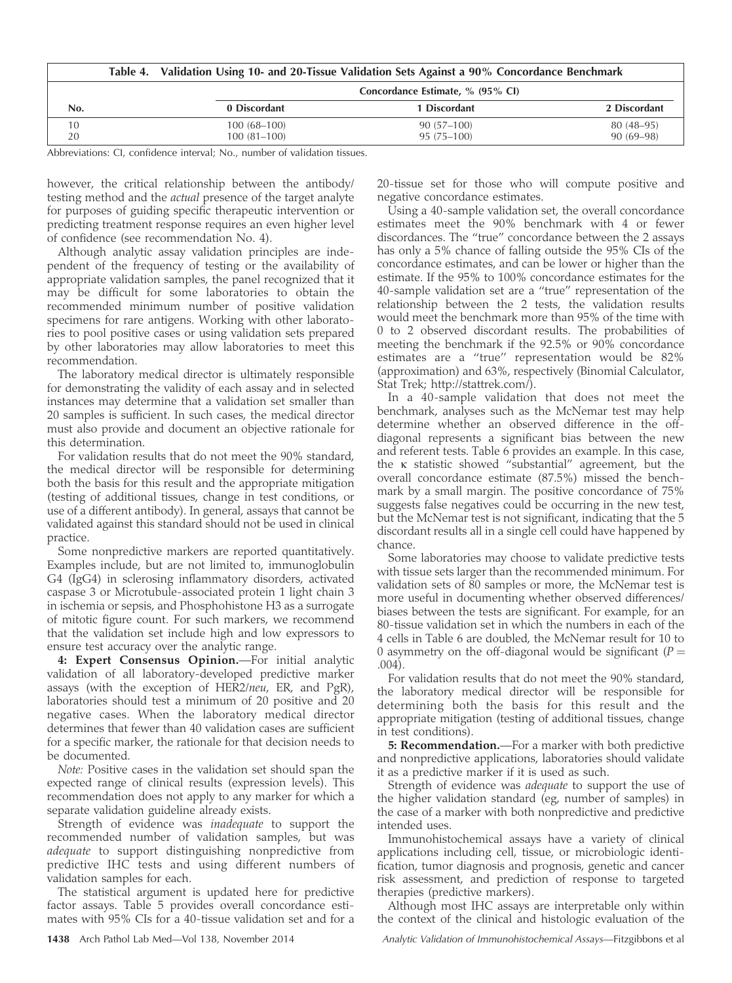|          |                                  | Table 4. Validation Using 10- and 20-Tissue Validation Sets Against a 90% Concordance Benchmark |                            |
|----------|----------------------------------|-------------------------------------------------------------------------------------------------|----------------------------|
|          | Concordance Estimate, % (95% CI) |                                                                                                 |                            |
| No.      | 0 Discordant                     | 1 Discordant                                                                                    | 2 Discordant               |
| 10<br>20 | $100(68-100)$<br>$100(81-100)$   | $90(57-100)$<br>$95(75-100)$                                                                    | $80(48-95)$<br>$90(69-98)$ |

Abbreviations: CI, confidence interval; No., number of validation tissues.

however, the critical relationship between the antibody/ testing method and the actual presence of the target analyte for purposes of guiding specific therapeutic intervention or predicting treatment response requires an even higher level of confidence (see recommendation No. 4).

Although analytic assay validation principles are independent of the frequency of testing or the availability of appropriate validation samples, the panel recognized that it may be difficult for some laboratories to obtain the recommended minimum number of positive validation specimens for rare antigens. Working with other laboratories to pool positive cases or using validation sets prepared by other laboratories may allow laboratories to meet this recommendation.

The laboratory medical director is ultimately responsible for demonstrating the validity of each assay and in selected instances may determine that a validation set smaller than 20 samples is sufficient. In such cases, the medical director must also provide and document an objective rationale for this determination.

For validation results that do not meet the 90% standard, the medical director will be responsible for determining both the basis for this result and the appropriate mitigation (testing of additional tissues, change in test conditions, or use of a different antibody). In general, assays that cannot be validated against this standard should not be used in clinical practice.

Some nonpredictive markers are reported quantitatively. Examples include, but are not limited to, immunoglobulin G4 (IgG4) in sclerosing inflammatory disorders, activated caspase 3 or Microtubule-associated protein 1 light chain 3 in ischemia or sepsis, and Phosphohistone H3 as a surrogate of mitotic figure count. For such markers, we recommend that the validation set include high and low expressors to ensure test accuracy over the analytic range.

4: Expert Consensus Opinion.-- For initial analytic validation of all laboratory-developed predictive marker assays (with the exception of HER2/neu, ER, and PgR), laboratories should test a minimum of 20 positive and 20 negative cases. When the laboratory medical director determines that fewer than 40 validation cases are sufficient for a specific marker, the rationale for that decision needs to be documented.

Note: Positive cases in the validation set should span the expected range of clinical results (expression levels). This recommendation does not apply to any marker for which a separate validation guideline already exists.

Strength of evidence was inadequate to support the recommended number of validation samples, but was adequate to support distinguishing nonpredictive from predictive IHC tests and using different numbers of validation samples for each.

The statistical argument is updated here for predictive factor assays. Table 5 provides overall concordance estimates with 95% CIs for a 40-tissue validation set and for a

20-tissue set for those who will compute positive and negative concordance estimates.

Using a 40-sample validation set, the overall concordance estimates meet the 90% benchmark with 4 or fewer discordances. The ''true'' concordance between the 2 assays has only a 5% chance of falling outside the 95% CIs of the concordance estimates, and can be lower or higher than the estimate. If the 95% to 100% concordance estimates for the 40-sample validation set are a ''true'' representation of the relationship between the 2 tests, the validation results would meet the benchmark more than 95% of the time with 0 to 2 observed discordant results. The probabilities of meeting the benchmark if the 92.5% or 90% concordance estimates are a ''true'' representation would be 82% (approximation) and 63%, respectively (Binomial Calculator, Stat Trek; http://stattrek.com/).

In a 40-sample validation that does not meet the benchmark, analyses such as the McNemar test may help determine whether an observed difference in the offdiagonal represents a significant bias between the new and referent tests. Table 6 provides an example. In this case, the  $\kappa$  statistic showed "substantial" agreement, but the overall concordance estimate (87.5%) missed the benchmark by a small margin. The positive concordance of 75% suggests false negatives could be occurring in the new test, but the McNemar test is not significant, indicating that the 5 discordant results all in a single cell could have happened by chance.

Some laboratories may choose to validate predictive tests with tissue sets larger than the recommended minimum. For validation sets of 80 samples or more, the McNemar test is more useful in documenting whether observed differences/ biases between the tests are significant. For example, for an 80-tissue validation set in which the numbers in each of the 4 cells in Table 6 are doubled, the McNemar result for 10 to 0 asymmetry on the off-diagonal would be significant ( $P =$ .004).

For validation results that do not meet the 90% standard, the laboratory medical director will be responsible for determining both the basis for this result and the appropriate mitigation (testing of additional tissues, change in test conditions).

**5: Recommendation.**—For a marker with both predictive and nonpredictive applications, laboratories should validate it as a predictive marker if it is used as such.

Strength of evidence was adequate to support the use of the higher validation standard (eg, number of samples) in the case of a marker with both nonpredictive and predictive intended uses.

Immunohistochemical assays have a variety of clinical applications including cell, tissue, or microbiologic identification, tumor diagnosis and prognosis, genetic and cancer risk assessment, and prediction of response to targeted therapies (predictive markers).

Although most IHC assays are interpretable only within the context of the clinical and histologic evaluation of the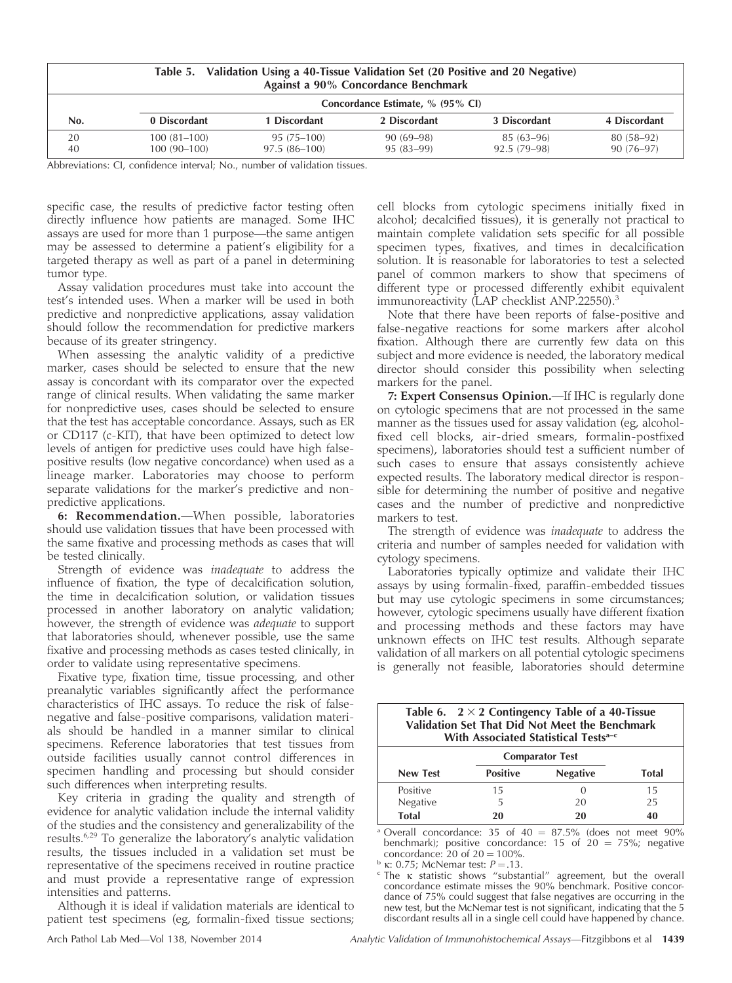| Table 5. Validation Using a 40-Tissue Validation Set (20 Positive and 20 Negative)<br>Against a 90% Concordance Benchmark |                                |                                |                           |                              |                            |
|---------------------------------------------------------------------------------------------------------------------------|--------------------------------|--------------------------------|---------------------------|------------------------------|----------------------------|
| Concordance Estimate, % (95% CI)                                                                                          |                                |                                |                           |                              |                            |
| No.                                                                                                                       | 0 Discordant                   | 1 Discordant                   | 2 Discordant              | 3 Discordant                 | 4 Discordant               |
| 20<br>40                                                                                                                  | $100(81-100)$<br>$100(90-100)$ | $95(75-100)$<br>$97.5(86-100)$ | $90(69-98)$<br>95 (83–99) | $85(63-96)$<br>$92.5(79-98)$ | $80(58-92)$<br>$90(76-97)$ |

Abbreviations: CI, confidence interval; No., number of validation tissues.

specific case, the results of predictive factor testing often directly influence how patients are managed. Some IHC assays are used for more than 1 purpose—the same antigen may be assessed to determine a patient's eligibility for a targeted therapy as well as part of a panel in determining tumor type.

Assay validation procedures must take into account the test's intended uses. When a marker will be used in both predictive and nonpredictive applications, assay validation should follow the recommendation for predictive markers because of its greater stringency.

When assessing the analytic validity of a predictive marker, cases should be selected to ensure that the new assay is concordant with its comparator over the expected range of clinical results. When validating the same marker for nonpredictive uses, cases should be selected to ensure that the test has acceptable concordance. Assays, such as ER or CD117 (c-KIT), that have been optimized to detect low levels of antigen for predictive uses could have high falsepositive results (low negative concordance) when used as a lineage marker. Laboratories may choose to perform separate validations for the marker's predictive and nonpredictive applications.

6: Recommendation.—When possible, laboratories should use validation tissues that have been processed with the same fixative and processing methods as cases that will be tested clinically.

Strength of evidence was *inadequate* to address the influence of fixation, the type of decalcification solution, the time in decalcification solution, or validation tissues processed in another laboratory on analytic validation; however, the strength of evidence was adequate to support that laboratories should, whenever possible, use the same fixative and processing methods as cases tested clinically, in order to validate using representative specimens.

Fixative type, fixation time, tissue processing, and other preanalytic variables significantly affect the performance characteristics of IHC assays. To reduce the risk of falsenegative and false-positive comparisons, validation materials should be handled in a manner similar to clinical specimens. Reference laboratories that test tissues from outside facilities usually cannot control differences in specimen handling and processing but should consider such differences when interpreting results.

Key criteria in grading the quality and strength of evidence for analytic validation include the internal validity of the studies and the consistency and generalizability of the results.6,29 To generalize the laboratory's analytic validation results, the tissues included in a validation set must be representative of the specimens received in routine practice and must provide a representative range of expression intensities and patterns.

Although it is ideal if validation materials are identical to patient test specimens (eg, formalin-fixed tissue sections;

cell blocks from cytologic specimens initially fixed in alcohol; decalcified tissues), it is generally not practical to maintain complete validation sets specific for all possible specimen types, fixatives, and times in decalcification solution. It is reasonable for laboratories to test a selected panel of common markers to show that specimens of different type or processed differently exhibit equivalent immunoreactivity (LAP checklist ANP.22550).3

Note that there have been reports of false-positive and false-negative reactions for some markers after alcohol fixation. Although there are currently few data on this subject and more evidence is needed, the laboratory medical director should consider this possibility when selecting markers for the panel.

7: Expert Consensus Opinion.—If IHC is regularly done on cytologic specimens that are not processed in the same manner as the tissues used for assay validation (eg, alcoholfixed cell blocks, air-dried smears, formalin-postfixed specimens), laboratories should test a sufficient number of such cases to ensure that assays consistently achieve expected results. The laboratory medical director is responsible for determining the number of positive and negative cases and the number of predictive and nonpredictive markers to test.

The strength of evidence was inadequate to address the criteria and number of samples needed for validation with cytology specimens.

Laboratories typically optimize and validate their IHC assays by using formalin-fixed, paraffin-embedded tissues but may use cytologic specimens in some circumstances; however, cytologic specimens usually have different fixation and processing methods and these factors may have unknown effects on IHC test results. Although separate validation of all markers on all potential cytologic specimens is generally not feasible, laboratories should determine

| Table 6. $2 \times 2$ Contingency Table of a 40-Tissue<br>Validation Set That Did Not Meet the Benchmark<br>With Associated Statistical Tests <sup>a-c</sup> |                        |                  |       |
|--------------------------------------------------------------------------------------------------------------------------------------------------------------|------------------------|------------------|-------|
|                                                                                                                                                              | <b>Comparator Test</b> |                  |       |
| New Test                                                                                                                                                     | <b>Positive</b>        | <b>Negative</b>  | Total |
| Positive                                                                                                                                                     | 15                     | $\left( \right)$ | 15    |
| Negative                                                                                                                                                     |                        | 20               | 25    |

Total 20 20 40 Overall concordance: 35 of  $40 = 87.5\%$  (does not meet 90%) benchmark); positive concordance: 15 of  $20 = 75\%$ ; negative concordance: 20 of  $20 = 100\%$ .

<sup>&</sup>lt;sup>b</sup> **k**: 0.75; McNemar test:  $P = .13$ .<br>
<sup>c</sup> The **k** statistic shows "substantial" agreement, but the overall concordance estimate misses the 90% benchmark. Positive concordance of 75% could suggest that false negatives are occurring in the new test, but the McNemar test is not significant, indicating that the 5 discordant results all in a single cell could have happened by chance.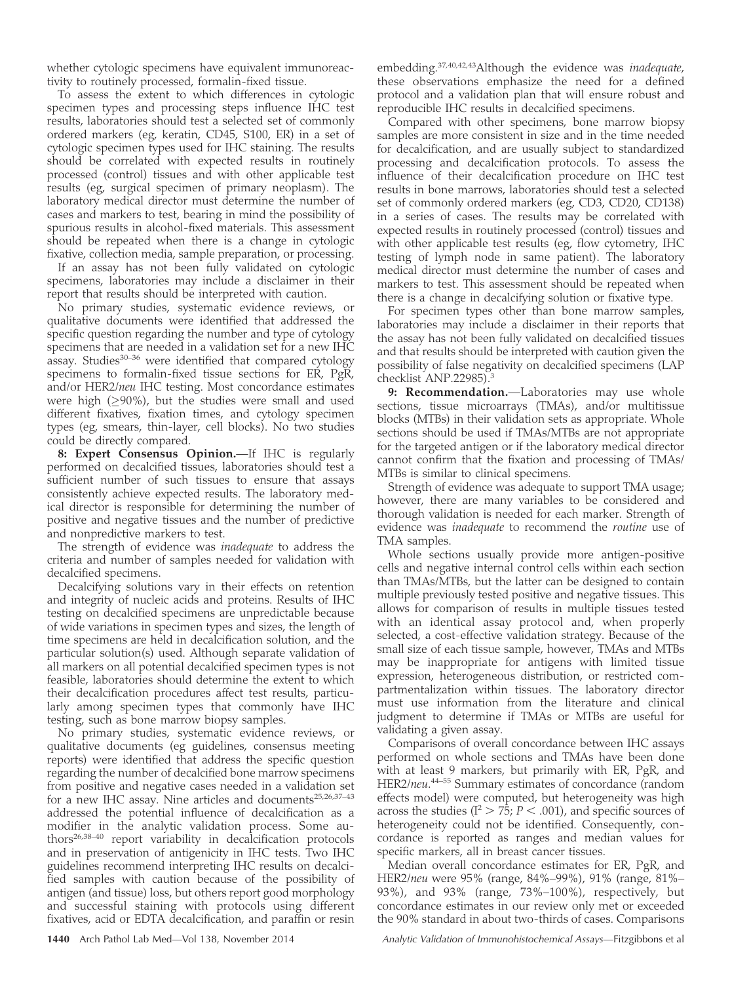whether cytologic specimens have equivalent immunoreactivity to routinely processed, formalin-fixed tissue.

To assess the extent to which differences in cytologic specimen types and processing steps influence IHC test results, laboratories should test a selected set of commonly ordered markers (eg, keratin, CD45, S100, ER) in a set of cytologic specimen types used for IHC staining. The results should be correlated with expected results in routinely processed (control) tissues and with other applicable test results (eg, surgical specimen of primary neoplasm). The laboratory medical director must determine the number of cases and markers to test, bearing in mind the possibility of spurious results in alcohol-fixed materials. This assessment should be repeated when there is a change in cytologic fixative, collection media, sample preparation, or processing.

If an assay has not been fully validated on cytologic specimens, laboratories may include a disclaimer in their report that results should be interpreted with caution.

No primary studies, systematic evidence reviews, or qualitative documents were identified that addressed the specific question regarding the number and type of cytology specimens that are needed in a validation set for a new IHC assay. Studies<sup>30-36</sup> were identified that compared cytology specimens to formalin-fixed tissue sections for ER, PgR, and/or HER2/neu IHC testing. Most concordance estimates were high  $(\geq 90\%)$ , but the studies were small and used different fixatives, fixation times, and cytology specimen types (eg, smears, thin-layer, cell blocks). No two studies could be directly compared.

8: Expert Consensus Opinion.—If IHC is regularly performed on decalcified tissues, laboratories should test a sufficient number of such tissues to ensure that assays consistently achieve expected results. The laboratory medical director is responsible for determining the number of positive and negative tissues and the number of predictive and nonpredictive markers to test.

The strength of evidence was inadequate to address the criteria and number of samples needed for validation with decalcified specimens.

Decalcifying solutions vary in their effects on retention and integrity of nucleic acids and proteins. Results of IHC testing on decalcified specimens are unpredictable because of wide variations in specimen types and sizes, the length of time specimens are held in decalcification solution, and the particular solution(s) used. Although separate validation of all markers on all potential decalcified specimen types is not feasible, laboratories should determine the extent to which their decalcification procedures affect test results, particularly among specimen types that commonly have IHC testing, such as bone marrow biopsy samples.

No primary studies, systematic evidence reviews, or qualitative documents (eg guidelines, consensus meeting reports) were identified that address the specific question regarding the number of decalcified bone marrow specimens from positive and negative cases needed in a validation set for a new IHC assay. Nine articles and documents<sup>25,26,37-43</sup> addressed the potential influence of decalcification as a modifier in the analytic validation process. Some authors26,38–40 report variability in decalcification protocols and in preservation of antigenicity in IHC tests. Two IHC guidelines recommend interpreting IHC results on decalcified samples with caution because of the possibility of antigen (and tissue) loss, but others report good morphology and successful staining with protocols using different fixatives, acid or EDTA decalcification, and paraffin or resin

embedding.<sup>37,40,42,43</sup>Although the evidence was *inadequate*, these observations emphasize the need for a defined protocol and a validation plan that will ensure robust and reproducible IHC results in decalcified specimens.

Compared with other specimens, bone marrow biopsy samples are more consistent in size and in the time needed for decalcification, and are usually subject to standardized processing and decalcification protocols. To assess the influence of their decalcification procedure on IHC test results in bone marrows, laboratories should test a selected set of commonly ordered markers (eg, CD3, CD20, CD138) in a series of cases. The results may be correlated with expected results in routinely processed (control) tissues and with other applicable test results (eg, flow cytometry, IHC testing of lymph node in same patient). The laboratory medical director must determine the number of cases and markers to test. This assessment should be repeated when there is a change in decalcifying solution or fixative type.

For specimen types other than bone marrow samples, laboratories may include a disclaimer in their reports that the assay has not been fully validated on decalcified tissues and that results should be interpreted with caution given the possibility of false negativity on decalcified specimens (LAP checklist ANP.22985).

9: Recommendation.—Laboratories may use whole sections, tissue microarrays (TMAs), and/or multitissue blocks (MTBs) in their validation sets as appropriate. Whole sections should be used if TMAs/MTBs are not appropriate for the targeted antigen or if the laboratory medical director cannot confirm that the fixation and processing of TMAs/ MTBs is similar to clinical specimens.

Strength of evidence was adequate to support TMA usage; however, there are many variables to be considered and thorough validation is needed for each marker. Strength of evidence was inadequate to recommend the routine use of TMA samples.

Whole sections usually provide more antigen-positive cells and negative internal control cells within each section than TMAs/MTBs, but the latter can be designed to contain multiple previously tested positive and negative tissues. This allows for comparison of results in multiple tissues tested with an identical assay protocol and, when properly selected, a cost-effective validation strategy. Because of the small size of each tissue sample, however, TMAs and MTBs may be inappropriate for antigens with limited tissue expression, heterogeneous distribution, or restricted compartmentalization within tissues. The laboratory director must use information from the literature and clinical judgment to determine if TMAs or MTBs are useful for validating a given assay.

Comparisons of overall concordance between IHC assays performed on whole sections and TMAs have been done with at least 9 markers, but primarily with ER, PgR, and HER2/neu.<sup>44-55</sup> Summary estimates of concordance (random effects model) were computed, but heterogeneity was high across the studies ( $I^2 > 75$ ;  $P < .001$ ), and specific sources of heterogeneity could not be identified. Consequently, concordance is reported as ranges and median values for specific markers, all in breast cancer tissues.

Median overall concordance estimates for ER, PgR, and HER2/neu were 95% (range, 84%–99%), 91% (range, 81%– 93%), and 93% (range, 73%–100%), respectively, but concordance estimates in our review only met or exceeded the 90% standard in about two-thirds of cases. Comparisons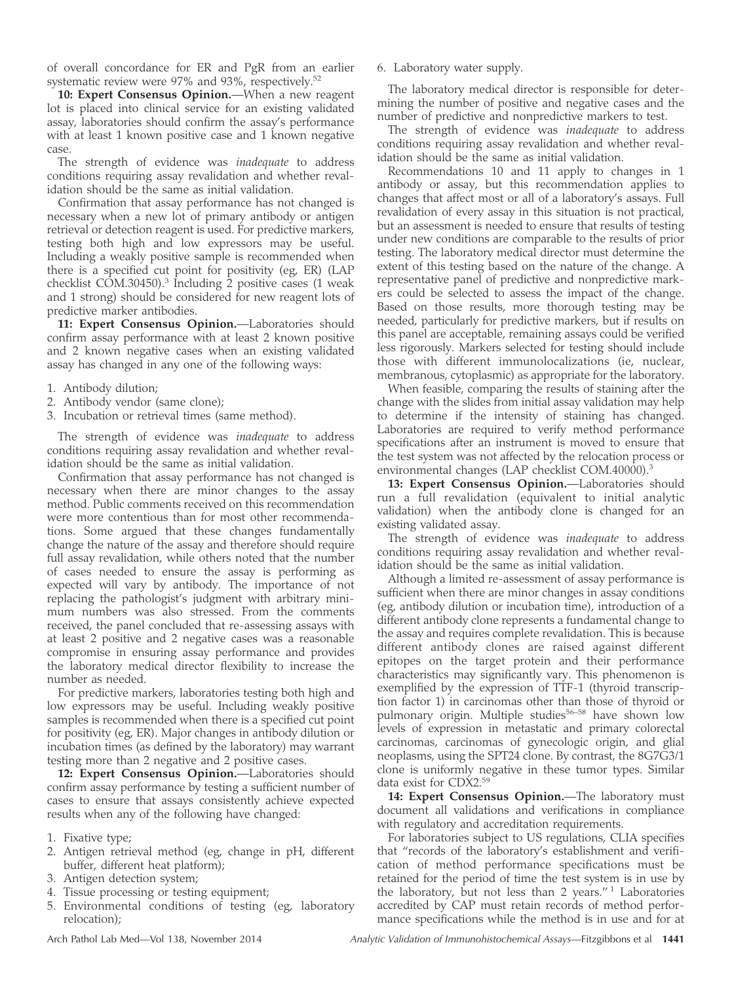of overall concordance for ER and PgR from an earlier systematic review were 97% and 93%, respectively.<sup>52</sup>

10: Expert Consensus Opinion.—When a new reagent lot is placed into clinical service for an existing validated assay, laboratories should confirm the assay's performance with at least 1 known positive case and 1 known negative case.

The strength of evidence was *inadequate* to address conditions requiring assay revalidation and whether revalidation should be the same as initial validation.

Confirmation that assay performance has not changed is necessary when a new lot of primary antibody or antigen retrieval or detection reagent is used. For predictive markers, testing both high and low expressors may be useful. Including a weakly positive sample is recommended when there is a specified cut point for positivity (eg, ER) (LAP checklist COM.30450).<sup>3</sup> Including 2 positive cases (1 weak and 1 strong) should be considered for new reagent lots of predictive marker antibodies.

11: Expert Consensus Opinion.—Laboratories should confirm assay performance with at least 2 known positive and 2 known negative cases when an existing validated assay has changed in any one of the following ways:

- 1. Antibody dilution;
- 2. Antibody vendor (same clone);
- 3. Incubation or retrieval times (same method).

The strength of evidence was *inadequate* to address conditions requiring assay revalidation and whether revalidation should be the same as initial validation.

Confirmation that assay performance has not changed is necessary when there are minor changes to the assay method. Public comments received on this recommendation were more contentious than for most other recommendations. Some argued that these changes fundamentally change the nature of the assay and therefore should require full assay revalidation, while others noted that the number of cases needed to ensure the assay is performing as expected will vary by antibody. The importance of not replacing the pathologist's judgment with arbitrary minimum numbers was also stressed. From the comments received, the panel concluded that re-assessing assays with at least 2 positive and 2 negative cases was a reasonable compromise in ensuring assay performance and provides the laboratory medical director flexibility to increase the number as needed.

For predictive markers, laboratories testing both high and low expressors may be useful. Including weakly positive samples is recommended when there is a specified cut point for positivity (eg, ER). Major changes in antibody dilution or incubation times (as defined by the laboratory) may warrant testing more than 2 negative and 2 positive cases.

12: Expert Consensus Opinion.—Laboratories should confirm assay performance by testing a sufficient number of cases to ensure that assays consistently achieve expected results when any of the following have changed:

- 1. Fixative type;
- 2. Antigen retrieval method (eg, change in pH, different buffer, different heat platform);
- 3. Antigen detection system;
- 4. Tissue processing or testing equipment;
- 5. Environmental conditions of testing (eg, laboratory relocation);

6. Laboratory water supply.

The laboratory medical director is responsible for determining the number of positive and negative cases and the number of predictive and nonpredictive markers to test.

The strength of evidence was *inadequate* to address conditions requiring assay revalidation and whether revalidation should be the same as initial validation.

Recommendations 10 and 11 apply to changes in 1 antibody or assay, but this recommendation applies to changes that affect most or all of a laboratory's assays. Full revalidation of every assay in this situation is not practical, but an assessment is needed to ensure that results of testing under new conditions are comparable to the results of prior testing. The laboratory medical director must determine the extent of this testing based on the nature of the change. A representative panel of predictive and nonpredictive markers could be selected to assess the impact of the change. Based on those results, more thorough testing may be needed, particularly for predictive markers, but if results on this panel are acceptable, remaining assays could be verified less rigorously. Markers selected for testing should include those with different immunolocalizations (ie, nuclear, membranous, cytoplasmic) as appropriate for the laboratory.

When feasible, comparing the results of staining after the change with the slides from initial assay validation may help to determine if the intensity of staining has changed. Laboratories are required to verify method performance specifications after an instrument is moved to ensure that the test system was not affected by the relocation process or environmental changes (LAP checklist COM.40000).<sup>3</sup>

13: Expert Consensus Opinion.—Laboratories should run a full revalidation (equivalent to initial analytic validation) when the antibody clone is changed for an existing validated assay.

The strength of evidence was inadequate to address conditions requiring assay revalidation and whether revalidation should be the same as initial validation.

Although a limited re-assessment of assay performance is sufficient when there are minor changes in assay conditions (eg, antibody dilution or incubation time), introduction of a different antibody clone represents a fundamental change to the assay and requires complete revalidation. This is because different antibody clones are raised against different epitopes on the target protein and their performance characteristics may significantly vary. This phenomenon is exemplified by the expression of TTF-1 (thyroid transcription factor 1) in carcinomas other than those of thyroid or pulmonary origin. Multiple studies<sup>56-58</sup> have shown low levels of expression in metastatic and primary colorectal carcinomas, carcinomas of gynecologic origin, and glial neoplasms, using the SPT24 clone. By contrast, the 8G7G3/1 clone is uniformly negative in these tumor types. Similar data exist for CDX2.<sup>59</sup>

14: Expert Consensus Opinion.-The laboratory must document all validations and verifications in compliance with regulatory and accreditation requirements.

For laboratories subject to US regulations, CLIA specifies that ''records of the laboratory's establishment and verification of method performance specifications must be retained for the period of time the test system is in use by the laboratory, but not less than 2 years." $1$  Laboratories accredited by CAP must retain records of method performance specifications while the method is in use and for at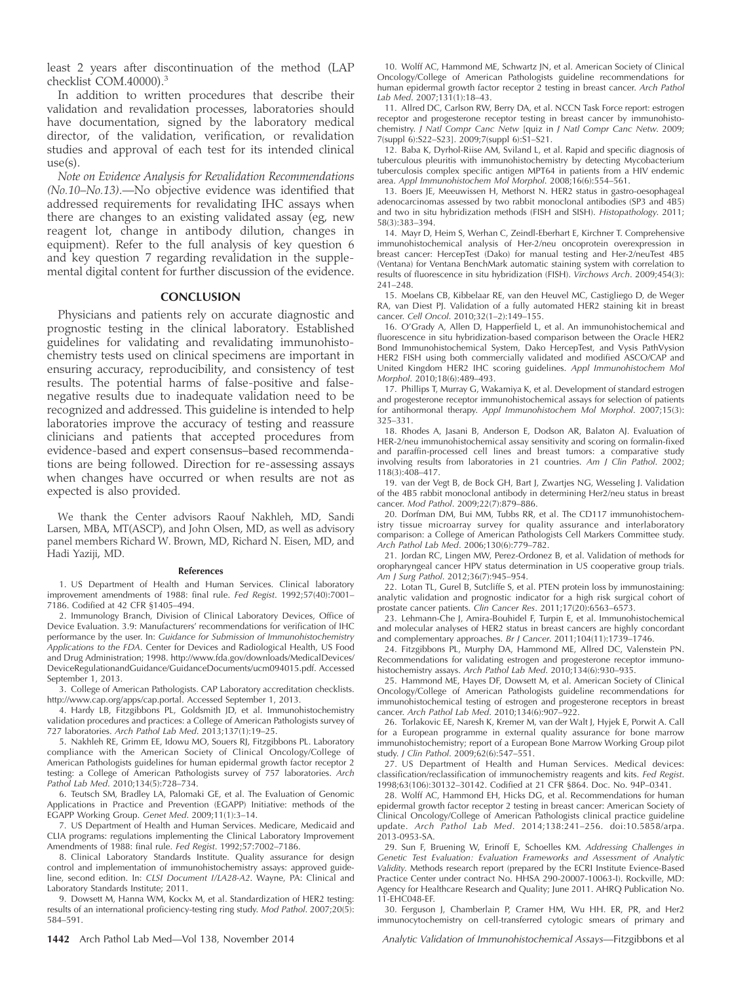least 2 years after discontinuation of the method (LAP checklist COM.40000).<sup>3</sup>

In addition to written procedures that describe their validation and revalidation processes, laboratories should have documentation, signed by the laboratory medical director, of the validation, verification, or revalidation studies and approval of each test for its intended clinical use(s).

Note on Evidence Analysis for Revalidation Recommendations (No.10–No.13).—No objective evidence was identified that addressed requirements for revalidating IHC assays when there are changes to an existing validated assay (eg, new reagent lot, change in antibody dilution, changes in equipment). Refer to the full analysis of key question 6 and key question 7 regarding revalidation in the supplemental digital content for further discussion of the evidence.

#### **CONCLUSION**

Physicians and patients rely on accurate diagnostic and prognostic testing in the clinical laboratory. Established guidelines for validating and revalidating immunohistochemistry tests used on clinical specimens are important in ensuring accuracy, reproducibility, and consistency of test results. The potential harms of false-positive and falsenegative results due to inadequate validation need to be recognized and addressed. This guideline is intended to help laboratories improve the accuracy of testing and reassure clinicians and patients that accepted procedures from evidence-based and expert consensus–based recommendations are being followed. Direction for re-assessing assays when changes have occurred or when results are not as expected is also provided.

We thank the Center advisors Raouf Nakhleh, MD, Sandi Larsen, MBA, MT(ASCP), and John Olsen, MD, as well as advisory panel members Richard W. Brown, MD, Richard N. Eisen, MD, and Hadi Yaziji, MD.

#### References

1. US Department of Health and Human Services. Clinical laboratory improvement amendments of 1988: final rule. Fed Regist. 1992;57(40):7001– 7186. Codified at 42 CFR §1405–494.

2. Immunology Branch, Division of Clinical Laboratory Devices, Office of Device Evaluation. 3.9: Manufacturers' recommendations for verification of IHC performance by the user. In: Guidance for Submission of Immunohistochemistry Applications to the FDA. Center for Devices and Radiological Health, US Food and Drug Administration; 1998. http://www.fda.gov/downloads/MedicalDevices/ DeviceRegulationandGuidance/GuidanceDocuments/ucm094015.pdf. Accessed September 1, 2013.

3. College of American Pathologists. CAP Laboratory accreditation checklists. http://www.cap.org/apps/cap.portal. Accessed September 1, 2013.

4. Hardy LB, Fitzgibbons PL, Goldsmith JD, et al. Immunohistochemistry validation procedures and practices: a College of American Pathologists survey of 727 laboratories. Arch Pathol Lab Med. 2013;137(1):19–25.

5. Nakhleh RE, Grimm EE, Idowu MO, Souers RJ, Fitzgibbons PL. Laboratory compliance with the American Society of Clinical Oncology/College of American Pathologists guidelines for human epidermal growth factor receptor 2 testing: a College of American Pathologists survey of 757 laboratories. Arch Pathol Lab Med. 2010;134(5):728–734.

6. Teutsch SM, Bradley LA, Palomaki GE, et al. The Evaluation of Genomic Applications in Practice and Prevention (EGAPP) Initiative: methods of the EGAPP Working Group. Genet Med. 2009;11(1):3–14.

7. US Department of Health and Human Services. Medicare, Medicaid and CLIA programs: regulations implementing the Clinical Laboratory Improvement Amendments of 1988: final rule. Fed Regist. 1992;57:7002–7186.

8. Clinical Laboratory Standards Institute. Quality assurance for design control and implementation of immunohistochemistry assays: approved guideline, second edition. In: CLSI Document I/LA28-A2. Wayne, PA: Clinical and Laboratory Standards Institute; 2011.

9. Dowsett M, Hanna WM, Kockx M, et al. Standardization of HER2 testing: results of an international proficiency-testing ring study. Mod Pathol. 2007;20(5): 584–591.

10. Wolff AC, Hammond ME, Schwartz JN, et al. American Society of Clinical Oncology/College of American Pathologists guideline recommendations for human epidermal growth factor receptor 2 testing in breast cancer. Arch Pathol Lab Med. 2007;131(1):18–43.

11. Allred DC, Carlson RW, Berry DA, et al. NCCN Task Force report: estrogen receptor and progesterone receptor testing in breast cancer by immunohistochemistry. J Natl Compr Canc Netw [quiz in J Natl Compr Canc Netw. 2009; 7(suppl 6):S22–S23]. 2009;7(suppl 6):S1–S21.

12. Baba K, Dyrhol-Riise AM, Sviland L, et al. Rapid and specific diagnosis of tuberculous pleuritis with immunohistochemistry by detecting Mycobacterium tuberculosis complex specific antigen MPT64 in patients from a HIV endemic area. Appl Immunohistochem Mol Morphol. 2008;16(6):554–561.

13. Boers JE, Meeuwissen H, Methorst N. HER2 status in gastro-oesophageal adenocarcinomas assessed by two rabbit monoclonal antibodies (SP3 and 4B5) and two in situ hybridization methods (FISH and SISH). Histopathology. 2011; 58(3):383–394.

14. Mayr D, Heim S, Werhan C, Zeindl-Eberhart E, Kirchner T. Comprehensive immunohistochemical analysis of Her-2/neu oncoprotein overexpression in breast cancer: HercepTest (Dako) for manual testing and Her-2/neuTest 4B5 (Ventana) for Ventana BenchMark automatic staining system with correlation to results of fluorescence in situ hybridization (FISH). Virchows Arch. 2009;454(3): 241–248.

15. Moelans CB, Kibbelaar RE, van den Heuvel MC, Castigliego D, de Weger RA, van Diest PJ. Validation of a fully automated HER2 staining kit in breast cancer. Cell Oncol. 2010;32(1–2):149–155.

16. O'Grady A, Allen D, Happerfield L, et al. An immunohistochemical and fluorescence in situ hybridization-based comparison between the Oracle HER2 Bond Immunohistochemical System, Dako HercepTest, and Vysis PathVysion HER2 FISH using both commercially validated and modified ASCO/CAP and United Kingdom HER2 IHC scoring guidelines. Appl Immunohistochem Mol Morphol. 2010;18(6):489–493.

17. Phillips T, Murray G, Wakamiya K, et al. Development of standard estrogen and progesterone receptor immunohistochemical assays for selection of patients for antihormonal therapy. Appl Immunohistochem Mol Morphol. 2007;15(3): 325–331.

18. Rhodes A, Jasani B, Anderson E, Dodson AR, Balaton AJ. Evaluation of HER-2/neu immunohistochemical assay sensitivity and scoring on formalin-fixed and paraffin-processed cell lines and breast tumors: a comparative study involving results from laboratories in 21 countries. Am J Clin Pathol. 2002; 118(3):408–417.

19. van der Vegt B, de Bock GH, Bart J, Zwartjes NG, Wesseling J. Validation of the 4B5 rabbit monoclonal antibody in determining Her2/neu status in breast cancer. Mod Pathol. 2009;22(7):879–886.

20. Dorfman DM, Bui MM, Tubbs RR, et al. The CD117 immunohistochemistry tissue microarray survey for quality assurance and interlaboratory comparison: a College of American Pathologists Cell Markers Committee study. Arch Pathol Lab Med. 2006;130(6):779–782.

21. Jordan RC, Lingen MW, Perez-Ordonez B, et al. Validation of methods for oropharyngeal cancer HPV status determination in US cooperative group trials. Am J Surg Pathol. 2012;36(7):945–954.

22. Lotan TL, Gurel B, Sutcliffe S, et al. PTEN protein loss by immunostaining: analytic validation and prognostic indicator for a high risk surgical cohort of prostate cancer patients. Clin Cancer Res. 2011;17(20):6563–6573.

23. Lehmann-Che J, Amira-Bouhidel F, Turpin E, et al. Immunohistochemical and molecular analyses of HER2 status in breast cancers are highly concordant and complementary approaches. Br J Cancer. 2011;104(11):1739–1746.

24. Fitzgibbons PL, Murphy DA, Hammond ME, Allred DC, Valenstein PN. Recommendations for validating estrogen and progesterone receptor immunohistochemistry assays. Arch Pathol Lab Med. 2010;134(6):930–935.

25. Hammond ME, Hayes DF, Dowsett M, et al. American Society of Clinical Oncology/College of American Pathologists guideline recommendations for immunohistochemical testing of estrogen and progesterone receptors in breast cancer. Arch Pathol Lab Med. 2010;134(6):907–922.

26. Torlakovic EE, Naresh K, Kremer M, van der Walt J, Hyjek E, Porwit A. Call for a European programme in external quality assurance for bone marrow immunohistochemistry; report of a European Bone Marrow Working Group pilot study. J Clin Pathol. 2009;62(6):547–551.

27. US Department of Health and Human Services. Medical devices: classification/reclassification of immunochemistry reagents and kits. Fed Regist. 1998;63(106):30132–30142. Codified at 21 CFR §864. Doc. No. 94P–0341.

28. Wolff AC, Hammond EH, Hicks DG, et al. Recommendations for human epidermal growth factor receptor 2 testing in breast cancer: American Society of Clinical Oncology/College of American Pathologists clinical practice guideline update. Arch Pathol Lab Med. 2014;138:241–256. doi:10.5858/arpa. 2013-0953-SA.

29. Sun F, Bruening W, Erinoff E, Schoelles KM. Addressing Challenges in Genetic Test Evaluation: Evaluation Frameworks and Assessment of Analytic Validity. Methods research report (prepared by the ECRI Institute Evience-Based Practice Center under contract No. HHSA 290-20007-10063-I). Rockville, MD: Agency for Healthcare Research and Quality; June 2011. AHRQ Publication No. 11-EHC048-EF.

30. Ferguson J, Chamberlain P, Cramer HM, Wu HH. ER, PR, and Her2 immunocytochemistry on cell-transferred cytologic smears of primary and